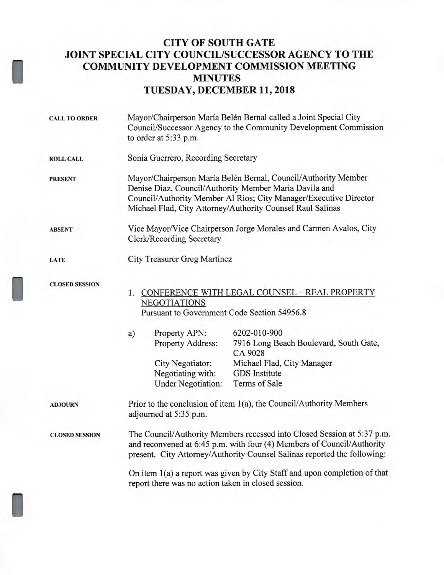## **CITY OF SOUTH GATE JOINT SPECIAL CITY COUNCIL/SUCCESSOR AGENCY TO THE COMMUNITY DEVELOPMENT COMMISSION MEETING MINUTES TUESDAY, DECEMBER 11, 2018**

I

I

| <b>CALL TO ORDER</b>  | Mayor/Chairperson María Belén Bernal called a Joint Special City<br>Council/Successor Agency to the Community Development Commission<br>to order at 5:33 p.m.                                                                                               |
|-----------------------|-------------------------------------------------------------------------------------------------------------------------------------------------------------------------------------------------------------------------------------------------------------|
| <b>ROLL CALL</b>      | Sonia Guerrero, Recording Secretary                                                                                                                                                                                                                         |
| <b>PRESENT</b>        | Mayor/Chairperson María Belén Bernal, Council/Authority Member<br>Denise Diaz, Council/Authority Member Maria Davila and<br>Council/Authority Member Al Rios; City Manager/Executive Director<br>Michael Flad, City Attorney/Authority Counsel Raul Salinas |
| <b>ABSENT</b>         | Vice Mayor/Vice Chairperson Jorge Morales and Carmen Avalos, City<br><b>Clerk/Recording Secretary</b>                                                                                                                                                       |
| <b>LATE</b>           | City Treasurer Greg Martinez                                                                                                                                                                                                                                |
| <b>CLOSED SESSION</b> | 1. CONFERENCE WITH LEGAL COUNSEL - REAL PROPERTY<br><b>NEGOTIATIONS</b><br>Pursuant to Government Code Section 54956.8                                                                                                                                      |
|                       | 6202-010-900<br>Property APN:<br>a)<br>7916 Long Beach Boulevard, South Gate,<br>Property Address:<br>CA 9028<br>Michael Flad, City Manager<br>City Negotiator:<br><b>GDS</b> Institute<br>Negotiating with:<br><b>Under Negotiation:</b><br>Terms of Sale  |
| <b>ADJOURN</b>        | Prior to the conclusion of item 1(a), the Council/Authority Members<br>adjourned at 5:35 p.m.                                                                                                                                                               |
| <b>CLOSED SESSION</b> | The Council/Authority Members recessed into Closed Session at 5:37 p.m.<br>and reconvened at 6:45 p.m. with four (4) Members of Council/Authority<br>present. City Attorney/Authority Counsel Salinas reported the following:                               |
|                       | On item 1(a) a report was given by City Staff and upon completion of that<br>report there was no action taken in closed session.                                                                                                                            |